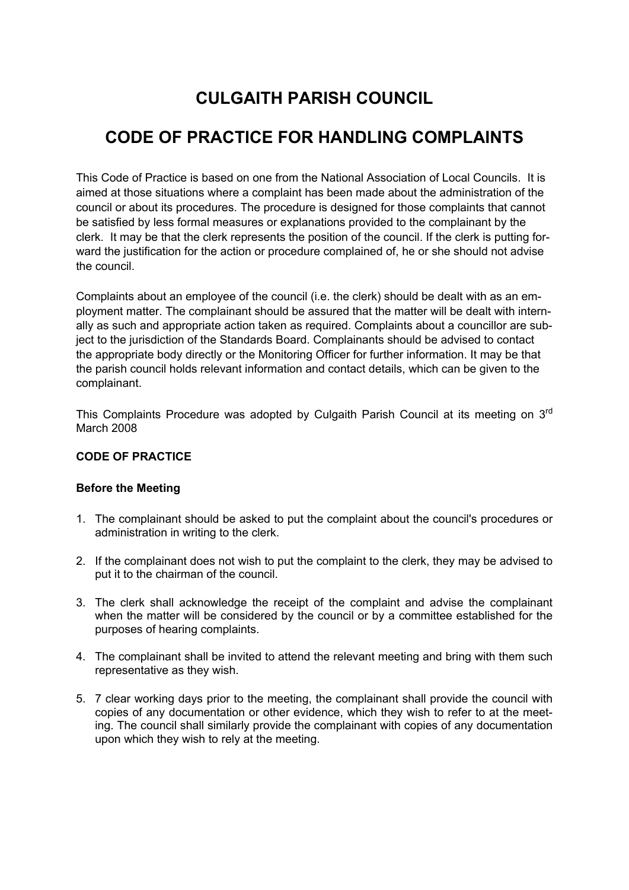# **CULGAITH PARISH COUNCIL**

# **CODE OF PRACTICE FOR HANDLING COMPLAINTS**

This Code of Practice is based on one from the National Association of Local Councils. It is aimed at those situations where a complaint has been made about the administration of the council or about its procedures. The procedure is designed for those complaints that cannot be satisfied by less formal measures or explanations provided to the complainant by the clerk. It may be that the clerk represents the position of the council. If the clerk is putting forward the justification for the action or procedure complained of, he or she should not advise the council.

Complaints about an employee of the council (i.e. the clerk) should be dealt with as an employment matter. The complainant should be assured that the matter will be dealt with internally as such and appropriate action taken as required. Complaints about a councillor are subject to the jurisdiction of the Standards Board. Complainants should be advised to contact the appropriate body directly or the Monitoring Officer for further information. It may be that the parish council holds relevant information and contact details, which can be given to the complainant.

This Complaints Procedure was adopted by Culgaith Parish Council at its meeting on 3<sup>rd</sup> March 2008

## **CODE OF PRACTICE**

#### **Before the Meeting**

- 1. The complainant should be asked to put the complaint about the council's procedures or administration in writing to the clerk.
- 2. If the complainant does not wish to put the complaint to the clerk, they may be advised to put it to the chairman of the council.
- 3. The clerk shall acknowledge the receipt of the complaint and advise the complainant when the matter will be considered by the council or by a committee established for the purposes of hearing complaints.
- 4. The complainant shall be invited to attend the relevant meeting and bring with them such representative as they wish.
- 5. 7 clear working days prior to the meeting, the complainant shall provide the council with copies of any documentation or other evidence, which they wish to refer to at the meeting. The council shall similarly provide the complainant with copies of any documentation upon which they wish to rely at the meeting.